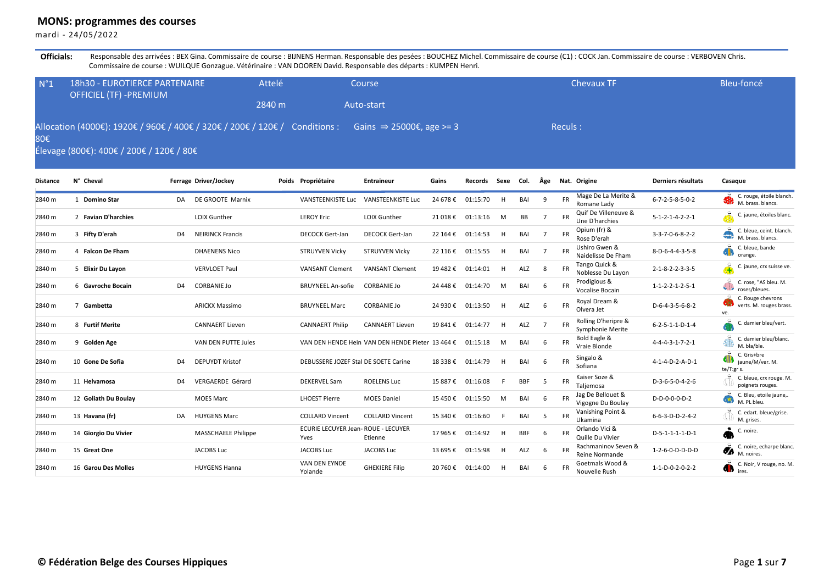## **MONS: programmes des courses**

mardi - 24/05/2022

Officials: Responsable des arrivées : BEX Gina. Commissaire de course : BIJNENS Herman. Responsable des pesées : BOUCHEZ Michel. Commissaire de course (C1) : COCK Jan. Commissaire de course : VERBOVEN Chris. Commissaire de course : WUILQUE Gonzague. Vétérinaire : VAN DOOREN David. Responsable des départs : KUMPEN Henri.

| N°1 | <b>18h30 - EUROTIERCE PARTENAIRE</b><br><b>OFFICIEL (TF) -PREMIUM</b>                                                                                        | Attelé | Course     | <b>Chevaux TF</b> | Bleu-foncé |
|-----|--------------------------------------------------------------------------------------------------------------------------------------------------------------|--------|------------|-------------------|------------|
|     |                                                                                                                                                              | 2840 m | Auto-start |                   |            |
| 80€ | Allocation (4000€): 1920€ / 960€ / 400€ / 320€ / 200€ / 120€ / Conditions : Gains $\Rightarrow$ 25000€, age >= 3<br>Élevage (800€): 400€ / 200€ / 120€ / 80€ |        |            | Reculs:           |            |

| <b>Distance</b> | N° Cheval                  |                | Ferrage Driver/Jockey      | Poids Propriétaire                         | <b>Entraineur</b>                                | Gains    | Records  | Sexe | Col.       | Âge |           | Nat. Origine                            | Derniers résultats              | Casaque                                                     |
|-----------------|----------------------------|----------------|----------------------------|--------------------------------------------|--------------------------------------------------|----------|----------|------|------------|-----|-----------|-----------------------------------------|---------------------------------|-------------------------------------------------------------|
| 2840 m          | <b>Domino Star</b><br>1    | DA             | DE GROOTE Marnix           | <b>VANSTEENKISTE Luc</b>                   | <b>VANSTEENKISTE Luc</b>                         | 24 678 € | 01:15:70 | H    | BAI        | 9   | <b>FR</b> | Mage De La Merite &<br>Romane Lady      | $6 - 7 - 2 - 5 - 8 - 5 - 0 - 2$ | C. rouge, étoile blanch.<br>M. brass, blancs.               |
| 2840 m          | 2 Favian D'harchies        |                | <b>LOIX Gunther</b>        | <b>LEROY Eric</b>                          | <b>LOIX Gunther</b>                              | 21 018€  | 01:13:16 | M    | BB         |     |           | Quif De Villeneuve &<br>Une D'harchies  | $5 - 1 - 2 - 1 - 4 - 2 - 2 - 1$ | C. jaune, étoiles blanc.                                    |
| 2840 m          | 3 Fifty D'erah             | D <sub>4</sub> | <b>NEIRINCK Francis</b>    | <b>DECOCK Gert-Jan</b>                     | <b>DECOCK Gert-Jan</b>                           | 22 164 € | 01:14:53 | H    | BAI        |     | <b>FR</b> | Opium (fr) &<br>Rose D'erah             | $3 - 3 - 7 - 0 - 6 - 8 - 2 - 2$ | C. bleue, ceint. blanch.<br>M. brass, blancs.               |
| 2840 m          | 4 Falcon De Fham           |                | <b>DHAENENS Nico</b>       | <b>STRUYVEN Vicky</b>                      | <b>STRUYVEN Vicky</b>                            | 22 116 € | 01:15:55 | H    | BAI        |     | <b>FR</b> | Ushiro Gwen &<br>Naidelisse De Fham     | 8-D-6-4-4-3-5-8                 | C. bleue, bande<br>orange.                                  |
| 2840 m          | 5 Elixir Du Layon          |                | <b>VERVLOET Paul</b>       | <b>VANSANT Clement</b>                     | <b>VANSANT Clement</b>                           | 19 482€  | 01:14:01 |      | ALZ        | -8  | <b>FR</b> | Tango Quick &<br>Noblesse Du Lavon      | $2 - 1 - 8 - 2 - 2 - 3 - 3 - 5$ | C. jaune, crx suisse ve.                                    |
| 2840 m          | 6 Gavroche Bocain          | D <sub>4</sub> | <b>CORBANIE Jo</b>         | <b>BRUYNEEL An-sofie</b>                   | <b>CORBANIE Jo</b>                               | 24 448 € | 01:14:70 | M    | BAI        | -6  |           | Prodigious &<br>Vocalise Bocain         | $1 - 1 - 2 - 2 - 1 - 2 - 5 - 1$ | C. rose, "AS bleu. M.<br>roses/bleues.                      |
| 2840 m          | Gambetta<br>$\overline{ }$ |                | <b>ARICKX Massimo</b>      | <b>BRUYNEEL Marc</b>                       | <b>CORBANIE Jo</b>                               | 24 930 € | 01:13:50 | H    | ALZ        | -6  | <b>FR</b> | Royal Dream &<br>Olvera Jet             | D-6-4-3-5-6-8-2                 | C. Rouge chevrons<br>verts. M. rouges brass.<br>ve.         |
| 2840 m          | 8 Furtif Merite            |                | <b>CANNAERT Lieven</b>     | <b>CANNAERT Philip</b>                     | <b>CANNAERT Lieven</b>                           | 19 841 € | 01:14:77 | H    | ALZ        |     |           | Rolling D'heripre &<br>Symphonie Merite | $6 - 2 - 5 - 1 - 1 - D - 1 - 4$ | damier bleu/vert.                                           |
| 2840 m          | 9 Golden Age               |                | VAN DEN PUTTE Jules        |                                            | VAN DEN HENDE Hein VAN DEN HENDE Pieter 13 464 € |          | 01:15:18 | M    | BAI        | -6  | <b>FR</b> | Bold Eagle &<br>Vraie Blonde            | $4 - 4 - 4 - 3 - 1 - 7 - 2 - 1$ | C. damier bleu/blanc.<br>M. bla/ble.                        |
| 2840 m          | 10 Gone De Sofia           | D <sub>4</sub> | <b>DEPUYDT Kristof</b>     | DEBUSSERE JOZEF Stal DE SOETE Carine       |                                                  | 18 338 € | 01:14:79 | H    | BAI        | -6  | <b>FR</b> | Singalo &<br>Sofiana                    | 4-1-4-D-2-A-D-1                 | C. Gris+bre<br>iaune/M/ver. M.<br>te/T:gr s.                |
| 2840 m          | 11 Helvamosa               | D <sub>4</sub> | <b>VERGAERDE Gérard</b>    | <b>DEKERVEL Sam</b>                        | <b>ROELENS Luc</b>                               | 15 887€  | 01:16:08 |      | <b>BBF</b> | 5   | <b>FR</b> | Kaiser Soze &<br>Taliemosa              | $D-3-6-5-0-4-2-6$               | C. bleue, crx rouge. M.<br>poignets rouges.                 |
| 2840 m          | 12 Goliath Du Boulay       |                | <b>MOES Marc</b>           | <b>LHOEST Pierre</b>                       | <b>MOES Daniel</b>                               | 15450€   | 01:15:50 | M    | BAI        | -6  | <b>FR</b> | Jag De Bellouet &<br>Vigogne Du Boulay  | D-D-0-0-0-D-2                   | C. Bleu, etoile jaune,<br>M. PL bleu.                       |
| 2840 m          | 13 Havana (fr)             | DA             | <b>HUYGENS Marc</b>        | <b>COLLARD Vincent</b>                     | <b>COLLARD Vincent</b>                           | 15 340 € | 01:16:60 |      | BAI        | .5  | <b>FR</b> | Vanishing Point &<br>Ukamina            | $6 - 6 - 3 - D - D - 2 - 4 - 2$ | C. edart. bleue/grise.<br>$^{\circ}$ M. grises.             |
| 2840 m          | 14 Giorgio Du Vivier       |                | <b>MASSCHAELE Philippe</b> | ECURIE LECUYER Jean-ROUE - LECUYER<br>Yves | Etienne                                          | 17 965 € | 01:14:92 | H    | <b>BBF</b> | -6  |           | Orlando Vici &<br>Quille Du Vivier      | $D-5-1-1-1-1-D-1$               | C. noire.                                                   |
| 2840 m          | 15 Great One               |                | <b>JACOBS Luc</b>          | <b>JACOBS Luc</b>                          | <b>JACOBS Luc</b>                                | 13 695€  | 01:15:98 |      | ALZ        | 6   | <b>FR</b> | Rachmaninov Seven &<br>Reine Normande   | 1-2-6-0-D-D-D-D                 | C. noire, echarpe blanc.<br>$\sigma$<br>M. noires.          |
| 2840 m          | 16 Garou Des Molles        |                | <b>HUYGENS Hanna</b>       | VAN DEN EYNDE<br>Yolande                   | <b>GHEKIERE Filip</b>                            | 20 760 € | 01:14:00 |      | BAI        |     |           | Goetmals Wood &<br>Nouvelle Rush        | 1-1-D-0-2-0-2-2                 | C. Noir, V rouge, no. M.<br>$\left  \cdot \right $<br>ires. |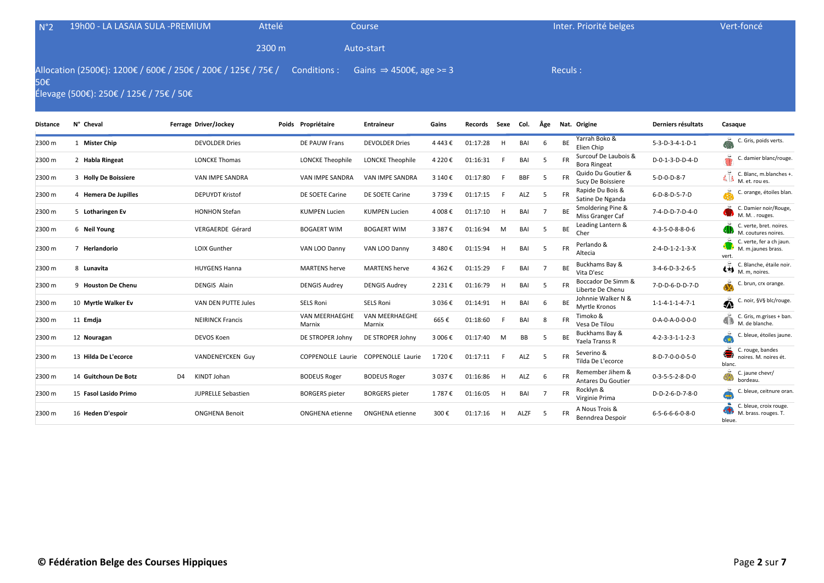| N°2      | 19h00 - LA LASAIA SULA -PREMIUM                                                                                       |                       | Attelé             | Course                              |       |                   | Inter. Priorité belges |                    | Vert-foncé |
|----------|-----------------------------------------------------------------------------------------------------------------------|-----------------------|--------------------|-------------------------------------|-------|-------------------|------------------------|--------------------|------------|
|          |                                                                                                                       |                       | 2300 m             | Auto-start                          |       |                   |                        |                    |            |
| 50€      | Allocation (2500€): 1200€ / 600€ / 250€ / 200€ / 125€ / 75€ / Conditions :<br>Élevage (500€): 250€ / 125€ / 75€ / 50€ |                       |                    | Gains $\Rightarrow$ 4500€, age >= 3 |       |                   | Reculs:                |                    |            |
| Distance | N° Cheval                                                                                                             | Ferrage Driver/Jockey | Poids Propriétaire | <b>Entraineur</b>                   | Gains | Records Sexe Col. | Âge Nat. Origine       | Derniers résultats | Casague    |

| 2300 m | 1 Mister Chip                 |                | <b>DEVOLDER Dries</b>     | DE PAUW Frans                   | <b>DEVOLDER Dries</b>           | 4 443 €   | 01:17:28 | н | BAI        | 6  | BE        | Yarrah Boko &<br>Elien Chip                   | $5 - 3 - D - 3 - 4 - 1 - D - 1$ | C. Gris, poids verts.                                                  |
|--------|-------------------------------|----------------|---------------------------|---------------------------------|---------------------------------|-----------|----------|---|------------|----|-----------|-----------------------------------------------|---------------------------------|------------------------------------------------------------------------|
| 2300 m | 2 Habla Ringeat               |                | <b>LONCKE Thomas</b>      | <b>LONCKE Theophile</b>         | <b>LONCKE Theophile</b>         | 4 2 2 0 € | 01:16:31 |   | BAI        |    | <b>FR</b> | Surcouf De Laubois &<br><b>Bora Ringeat</b>   | D-0-1-3-D-D-4-D                 | C. damier blanc/rouge                                                  |
| 2300 m | 3 Holly De Boissiere          |                | <b>VAN IMPE SANDRA</b>    | <b>VAN IMPE SANDRA</b>          | <b>VAN IMPE SANDRA</b>          | 3 140 €   | 01:17:80 |   | <b>BBF</b> |    |           | Quido Du Goutier &<br>Sucy De Boissiere       | 5-D-0-D-8-7                     | C. Blanc, m.blanches +<br>$\mathbb{C}[\mathfrak{z}]$<br>M. et. rou es. |
| 2300 m | 4 Hemera De Jupilles          |                | <b>DEPUYDT Kristof</b>    | DE SOETE Carine                 | DE SOETE Carine                 | 3739€     | 01:17:15 | E | ALZ        | .5 |           | Rapide Du Bois &<br>Satine De Nganda          | 6-D-8-D-5-7-D                   | C. orange, étoiles blan                                                |
| 2300 m | 5 Lotharingen Ev              |                | <b>HONHON Stefan</b>      | <b>KUMPEN Lucien</b>            | <b>KUMPEN Lucien</b>            | 4 008 €   | 01:17:10 | H | BAI        |    | BE        | Smoldering Pine &<br>Miss Granger Caf         | 7-4-D-D-7-D-4-0                 | C. Damier noir/Rouge,<br>M. M. . rouges.                               |
| 2300 m | 6 Neil Young                  |                | <b>VERGAERDE Gérard</b>   | <b>BOGAERT WIM</b>              | <b>BOGAERT WIM</b>              | 3 3 8 7 € | 01:16:94 | M | BAI        | -5 | BE        | Leading Lantern &<br>Cher                     | $4 - 3 - 5 - 0 - 8 - 8 - 0 - 6$ | C. verte, bret, noires.<br>M. coutures noires.                         |
| 2300 m | $\overline{7}$<br>Herlandorio |                | <b>LOIX Gunther</b>       | VAN LOO Danny                   | VAN LOO Danny                   | 3 480 €   | 01:15:94 | H | BAI        | 5  | <b>FR</b> | Perlando &<br>Altecia                         | $2 - 4 - D - 1 - 2 - 1 - 3 - X$ | C. verte, fer a ch jaun.<br>M. m.jaunes brass.<br>vert.                |
| 2300 m | 8 Lunavita                    |                | <b>HUYGENS Hanna</b>      | <b>MARTENS</b> herve            | <b>MARTENS</b> herve            | 4 3 6 2 € | 01:15:29 |   | BAI        |    | <b>BE</b> | Buckhams Bay &<br>Vita D'esc                  | $3-4-6-D-3-2-6-5$               | C. Blanche, étaile noir.<br>$\bigoplus$ M. m, noires.                  |
| 2300 m | 9 Houston De Chenu            |                | <b>DENGIS Alain</b>       | <b>DENGIS Audrey</b>            | <b>DENGIS Audrey</b>            | 2 231 €   | 01:16:79 | H | BAI        | .5 | <b>FR</b> | Boccador De Simm &<br>Liberte De Chenu        | 7-D-D-6-D-D-7-D                 | C. brun, crx orange.                                                   |
| 2300 m | 10 Myrtle Walker Ev           |                | VAN DEN PUTTE Jules       | <b>SELS Roni</b>                | <b>SELS Roni</b>                | 3 036 €   | 01:14:91 | H | BAI        | 6  | <b>BE</b> | Johnnie Walker N &<br>Myrtle Kronos           | $1 - 1 - 4 - 1 - 1 - 4 - 7 - 1$ | C. noir, §V§ blc/rouge.<br>$\bar{\mathbf{v}}$                          |
| 2300 m | 11 Emdja                      |                | <b>NEIRINCK Francis</b>   | <b>VAN MEERHAEGHE</b><br>Marnix | <b>VAN MEERHAEGHE</b><br>Marnix | 665€      | 01:18:60 |   | BAI        | 8  |           | Timoko &<br>Vesa De Tilou                     | 0-A-0-A-0-0-0-0                 | C. Gris, m.grises + ban.<br>O<br>M. de blanche.                        |
| 2300 m | 12 Nouragan                   |                | DEVOS Koen                | DE STROPER Johny                | DE STROPER Johny                | 3 006€    | 01:17:40 | м | BB         | .5 | BE        | Buckhams Bay &<br>Yaela Transs R              | $4 - 2 - 3 - 3 - 1 - 1 - 2 - 3$ | C. bleue, étoiles jaune                                                |
| 2300 m | 13 Hilda De L'ecorce          |                | <b>VANDENEYCKEN Guy</b>   | <b>COPPENOLLE Laurie</b>        | <b>COPPENOLLE Laurie</b>        | 1 720 €   | 01:17:11 | Е | ALZ        | .5 | FR        | Severino &<br>Tilda De L'ecorce               | 8-D-7-0-0-0-5-0                 | C. rouge, bandes<br>noires. M. noires ét.<br>blanc.                    |
| 2300 m | 14 Guitchoun De Botz          | D <sub>4</sub> | KINDT Johan               | <b>BODEUS Roger</b>             | <b>BODEUS Roger</b>             | 3 037€    | 01:16:86 | H | ALZ        | 6  | <b>FR</b> | Remember Jihem &<br><b>Antares Du Goutier</b> | $0 - 3 - 5 - 5 - 2 - 8 - D - 0$ | C. jaune chevr/<br>bordeau.                                            |
| 2300 m | 15 Fasol Lasido Primo         |                | <b>JUPRELLE Sebastien</b> | <b>BORGERS</b> pieter           | <b>BORGERS</b> pieter           | 1787€     | 01:16:05 | H | BAI        |    | <b>FR</b> | Rocklyn &<br>Virginie Prima                   | D-D-2-6-D-7-8-0                 | bleue, ceitnure oran                                                   |
| 2300 m | 16 Heden D'espoir             |                | <b>ONGHENA Benoit</b>     | <b>ONGHENA</b> etienne          | <b>ONGHENA</b> etienne          | 300€      | 01:17:16 | н | ALZF       |    | <b>FR</b> | A Nous Trois &<br>Benndrea Despoir            | $6 - 5 - 6 - 6 - 0 - 8 - 0$     | C. bleue, croix rouge.<br>M. brass. rouges. T.<br>bleue.               |
|        |                               |                |                           |                                 |                                 |           |          |   |            |    |           |                                               |                                 |                                                                        |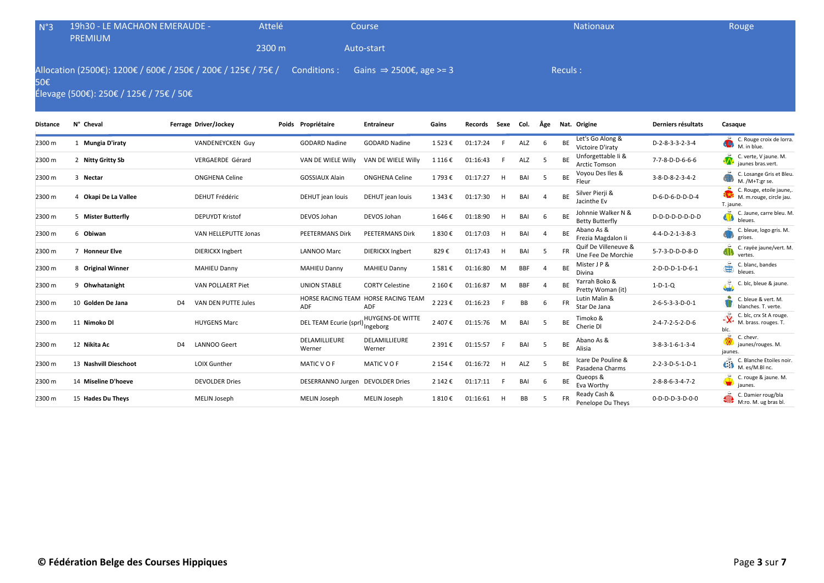| N°3 | 19h30 - LE MACHAON EMERAUDE -<br><b>PREMIUM</b>                                                                                                           | Attelé | Course     | <b>Nationaux</b> | Rouge |
|-----|-----------------------------------------------------------------------------------------------------------------------------------------------------------|--------|------------|------------------|-------|
|     |                                                                                                                                                           | 2300 m | Auto-start |                  |       |
| 50€ | Allocation (2500€): 1200€ / 600€ / 250€ / 200€ / 125€ / 75€ / Conditions : Gains $\Rightarrow$ 2500€, age >= 3<br>Élevage (500€): 250€ / 125€ / 75€ / 50€ |        |            | Reculs:          |       |

| <b>Distance</b> | N° Cheval             |                | Ferrage Driver/Jockey   | Poids Propriétaire               | <b>Entraineur</b>                          | Gains     | <b>Records</b> | Sexe | Col.       | Âge |           | Nat. Origine                                 | Derniers résultats              | Casaque                                                                       |
|-----------------|-----------------------|----------------|-------------------------|----------------------------------|--------------------------------------------|-----------|----------------|------|------------|-----|-----------|----------------------------------------------|---------------------------------|-------------------------------------------------------------------------------|
| 2300 m          | 1 Mungia D'iraty      |                | VANDENEYCKEN Guy        | <b>GODARD Nadine</b>             | <b>GODARD Nadine</b>                       | 1523€     | 01:17:24       |      | ALZ        | -6  | BE        | Let's Go Along &<br>Victoire D'iraty         | D-2-8-3-3-2-3-4                 | C. Rouge croix de lorra.<br>M. in blue.                                       |
| 2300 m          | 2 Nitty Gritty Sb     |                | <b>VERGAERDE Gérard</b> | VAN DE WIELE Willy               | VAN DE WIELE Willy                         | 1 116 €   | 01:16:43       |      | ALZ        | -5  | BE        | Unforgettable Ii &<br>Arctic Tomson          | 7-7-8-D-D-6-6-6                 | C. verte, V jaune. M.<br>jaunes bras.vert.                                    |
| 2300 m          | 3 Nectar              |                | <b>ONGHENA Celine</b>   | <b>GOSSIAUX Alain</b>            | <b>ONGHENA Celine</b>                      | 1793€     | 01:17:27       | H    | BAI        | .5  | BE        | Voyou Des Iles &<br>Fleur                    | 3-8-D-8-2-3-4-2                 | C. Losange Gris et Bleu.<br>M. /M+T:gr se.                                    |
| 2300 m          | 4 Okapi De La Vallee  |                | <b>DEHUT Frédéric</b>   | DEHUT jean louis                 | DEHUT jean louis                           | 1 343 €   | 01:17:30       | H    | BAI        |     | <b>BE</b> | Silver Pierji &<br>Jacinthe Ev               | D-6-D-6-D-D-D-4                 | C. Rouge, etoile jaune,.<br>M. m.rouge, circle jau.<br>T. jaune.              |
| 2300 m          | 5 Mister Butterfly    |                | <b>DEPUYDT Kristof</b>  | DEVOS Johan                      | DEVOS Johan                                | 1646€     | 01:18:90       | H    | BAI        | -6  | <b>BE</b> | Johnnie Walker N &<br><b>Betty Butterfly</b> | D-D-D-D-D-D-D-D                 | C. Jaune, carre bleu. M.<br>4D)<br>bleues.                                    |
| 2300 m          | 6 Obiwan              |                | VAN HELLEPUTTE Jonas    | PEETERMANS Dirk                  | <b>PEETERMANS Dirk</b>                     | 1830€     | 01:17:03       | н    | BAI        | 4   | BE        | Abano As &<br>Frezia Magdalon li             | 4-4-D-2-1-3-8-3                 | C. bleue, logo gris. M.<br>grises.                                            |
| 2300 m          | 7 Honneur Elve        |                | <b>DIERICKX Ingbert</b> | LANNOO Marc                      | <b>DIERICKX Ingbert</b>                    | 829€      | 01:17:43       | H    | BAI        | .5  | <b>FR</b> | Quif De Villeneuve &<br>Une Fee De Morchie   | 5-7-3-D-D-D-8-D                 | C. rayée jaune/vert. M.<br><b>d</b><br>vertes.                                |
| 2300 m          | 8 Original Winner     |                | <b>MAHIEU Danny</b>     | <b>MAHIEU Danny</b>              | <b>MAHIEU Danny</b>                        | 1581€     | 01:16:80       | M    | <b>BBF</b> |     | BE        | Mister J P &<br>Divina                       | 2-D-D-D-1-D-6-1                 | ٩<br>C. blanc, bandes<br>bleues.                                              |
| 2300 m          | 9 Ohwhatanight        |                | VAN POLLAERT Piet       | <b>UNION STABLE</b>              | <b>CORTY Celestine</b>                     | 2 160 €   | 01:16:87       | M    | <b>BBF</b> |     | ВE        | Yarrah Boko &<br>Pretty Woman (it)           | $1-D-1-Q$                       | ن<br>په<br>C. blc, bleue & jaune.                                             |
| 2300 m          | 10 Golden De Jana     | D <sub>4</sub> | VAN DEN PUTTE Jules     | ADF                              | HORSE RACING TEAM HORSE RACING TEAM<br>ADF | 2 2 2 3 € | 01:16:23       |      | BB         | 6   | <b>FR</b> | Lutin Malin &<br>Star De Jana                | $2 - 6 - 5 - 3 - 3 - D - 0 - 1$ | C. bleue & vert. M.<br>blanches. T. verte.                                    |
| 2300 m          | 11 Nimoko Dl          |                | <b>HUYGENS Marc</b>     | DEL TEAM Ecurie (sprl)           | <b>HUYGENS-DE WITTE</b><br>Ingeborg        | 2 407 €   | 01:15:76       | M    | BAI        | .5  | BE        | Timoko &<br>Cherie DI                        | $2 - 4 - 7 - 2 - 5 - 2 - D - 6$ | $\cdot \mathbf{X}$<br>C. blc, crx St A rouge.<br>M. brass. rouges. T.<br>blc. |
| 2300 m          | 12 Nikita Ac          | D <sub>4</sub> | <b>LANNOO Geert</b>     | DELAMILLIEURE<br>Werner          | DELAMILLIEURE<br>Werner                    | 2 391€    | 01:15:57       |      | BAI        | .5  | BE        | Abano As &<br>Alisia                         | $3 - 8 - 3 - 1 - 6 - 1 - 3 - 4$ | C. chevr.<br>jaunes/rouges. M.<br>jaunes.                                     |
| 2300 m          | 13 Nashvill Dieschoot |                | <b>LOIX Gunther</b>     | MATIC VOF                        | MATIC VOF                                  | 2 154 €   | 01:16:72       | H    | ALZ        | -5  | <b>BE</b> | Icare De Pouline &<br>Pasadena Charms        | 2-2-3-D-5-1-D-1                 | C. Blanche Etoiles noir.<br>Ó<br>M. es/M.Bl nc.                               |
| 2300 m          | 14 Miseline D'hoeve   |                | <b>DEVOLDER Dries</b>   | DESERRANNO Jurgen DEVOLDER Dries |                                            | 2 142 €   | 01:17:11       | -F   | BAI        | 6   | <b>BE</b> | Queops &<br>Eva Worthy                       | $2 - 8 - 8 - 6 - 3 - 4 - 7 - 2$ | C. rouge & jaune. M.<br>jaunes.                                               |
| 2300 m          | 15 Hades Du Theys     |                | MELIN Joseph            | MELIN Joseph                     | MELIN Joseph                               | 1810€     | 01:16:61       | н    | BB         | .5  |           | Ready Cash &<br>Penelope Du Theys            | 0-D-D-D-3-D-0-0                 | C. Damier roug/bla<br>M:ro. M. ug bras bl.                                    |
|                 |                       |                |                         |                                  |                                            |           |                |      |            |     |           |                                              |                                 |                                                                               |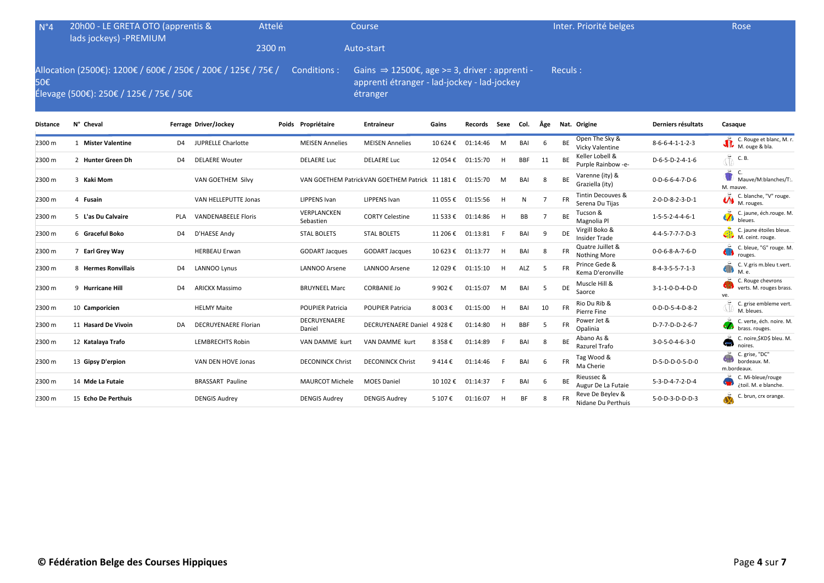| N°4 | 20h00 - LE GRETA OTO (apprentis &<br>lads jockeys) -PREMIUM | Attelé | Course                                                                                                                                                                                            | Inter. Priorité belges | Rose |
|-----|-------------------------------------------------------------|--------|---------------------------------------------------------------------------------------------------------------------------------------------------------------------------------------------------|------------------------|------|
|     |                                                             | 2300 m | Auto-start                                                                                                                                                                                        |                        |      |
| 50€ | Élevage (500€): 250€ / 125€ / 75€ / 50€                     |        | Allocation (2500€): 1200€ / 600€ / 250€ / 200€ / 125€ / 75€ / Conditions : Gains $\Rightarrow$ 12500€, age >= 3, driver : apprenti -<br>apprenti étranger - lad-jockey - lad-jockey b<br>étranger | Reculs:                |      |

| Distance | N° Cheval               |                | Ferrage Driver/Jockey       | Poids Propriétaire       | Entraineur                                      | Gains    | Records  | Sexe | Col.       | Äge |           | Nat. Origine                           | Derniers résultats              | Casaque                                                        |
|----------|-------------------------|----------------|-----------------------------|--------------------------|-------------------------------------------------|----------|----------|------|------------|-----|-----------|----------------------------------------|---------------------------------|----------------------------------------------------------------|
| 2300 m   | <b>Mister Valentine</b> | D4             | <b>JUPRELLE Charlotte</b>   | <b>MEISEN Annelies</b>   | <b>MEISEN Annelies</b>                          | 10 624 € | 01:14:46 | M    | BAI        | -6  | <b>BE</b> | Open The Sky &<br>Vicky Valentine      | $8-6-6-4-1-1-2-3$               | C. Rouge et blanc, M. r.<br>M. ouge & bla.                     |
| 2300 m   | 2 Hunter Green Dh       | D4             | <b>DELAERE Wouter</b>       | <b>DELAERE Luc</b>       | <b>DELAERE Luc</b>                              | 12 054 € | 01:15:70 | H    | <b>BBF</b> | 11  | BE        | Keller Lobell &<br>Purple Rainbow -e-  | D-6-5-D-2-4-1-6                 | İ<br>C. B.                                                     |
| 2300 m   | 3 Kaki Mom              |                | VAN GOETHEM Silvy           |                          | VAN GOETHEM PatrickVAN GOETHEM Patrick 11 181 € |          | 01:15:70 | M    | BAI        | 8   | <b>BE</b> | Varenne (ity) &<br>Graziella (ity)     | $0 - D - 6 - 6 - 4 - 7 - D - 6$ | C.<br>Mauve/M:blanches/T:.<br>M. mauve.                        |
| 2300 m   | 4 Fusain                |                | VAN HELLEPUTTE Jonas        | <b>LIPPENS Ivan</b>      | <b>LIPPENS Ivan</b>                             | 11 055 € | 01:15:56 | H    | Ν          |     | <b>FR</b> | Tintin Decouves &<br>Serena Du Tijas   | 2-0-D-8-2-3-D-1                 | C. blanche, "V" rouge.<br>$\bigotimes_{M. \text{ roughness.}}$ |
| 2300 m   | 5 L'as Du Calvaire      | <b>PLA</b>     | <b>VANDENABEELE Floris</b>  | VERPLANCKEN<br>Sebastien | <b>CORTY Celestine</b>                          | 11 533 € | 01:14:86 | H    | BB         |     | BE        | Tucson &<br>Magnolia Pl                | $1 - 5 - 5 - 2 - 4 - 4 - 6 - 1$ | C. jaune, éch.rouge. M.<br>bleues.                             |
| 2300 m   | 6 Graceful Boko         | D4             | D'HAESE Andy                | <b>STAL BOLETS</b>       | <b>STAL BOLETS</b>                              | 11 206 € | 01:13:81 | -F   | BAI        | 9   | DE        | Virgill Boko &<br><b>Insider Trade</b> | 4-4-5-7-7-7-D-3                 | C. jaune étoiles bleue.<br>Q)<br>M. ceint. rouge.              |
| 2300 m   | 7 Earl Grey Way         |                | <b>HERBEAU Erwan</b>        | <b>GODART Jacques</b>    | <b>GODART Jacques</b>                           | 10 623 € | 01:13:77 | H    | BAI        | -8  |           | Quatre Juillet &<br>Nothing More       | $0 - 0 - 6 - 8 - A - 7 - 6 - D$ | C. bleue, "G" rouge. M.<br>rouges.                             |
| 2300 m   | 8 Hermes Ronvillais     | D <sub>4</sub> | <b>LANNOO Lynus</b>         | LANNOO Arsene            | <b>LANNOO Arsene</b>                            | 12 029€  | 01:15:10 | H    | ALZ        | -5  |           | Prince Gede &<br>Kema D'eronville      | $8 - 4 - 3 - 5 - 5 - 7 - 1 - 3$ | C. V.gris m.bleu t.vert.<br>410<br>M. e.                       |
| 2300 m   | 9 Hurricane Hill        | D <sub>4</sub> | <b>ARICKX Massimo</b>       | <b>BRUYNEEL Marc</b>     | <b>CORBANIE Jo</b>                              | 9 902€   | 01:15:07 | M    | BAI        | -5  | DE        | Muscle Hill &<br>Saorce                | 3-1-1-0-D-4-D-D                 | C. Rouge chevrons<br>verts. M. rouges brass.<br>ve.            |
| 2300 m   | 10 Camporicien          |                | <b>HELMY Maite</b>          | <b>POUPIER Patricia</b>  | <b>POUPIER Patricia</b>                         | 8 003€   | 01:15:00 | H    | BAI        | 10  | <b>FR</b> | Rio Du Rib &<br>Pierre Fine            | 0-D-D-5-4-D-8-2                 | C. grise embleme vert.<br>M. bleues.                           |
| 2300 m   | 11 Hasard De Vivoin     | DA             | <b>DECRUYENAERE Florian</b> | DECRUYENAERE<br>Daniel   | DECRUYENAERE Daniel 4 928 €                     |          | 01:14:80 | H    | <b>BBF</b> | -5  | <b>FR</b> | Power Jet &<br>Opalinia                | D-7-7-D-D-2-6-7                 | C. verte, éch. noire. M.<br>brass. rouges.                     |
| 2300 m   | 12 Katalaya Trafo       |                | <b>LEMBRECHTS Robin</b>     | VAN DAMME kurt           | VAN DAMME kurt                                  | 8 358 €  | 01:14:89 | F.   | BAI        | 8   | <b>BE</b> | Abano As &<br>Razurel Trafo            | $3 - 0 - 5 - 0 - 4 - 6 - 3 - 0$ | C. noire, SKDS bleu. M.<br><b>ST</b><br>noires.                |
| 2300 m   | 13 Gipsy D'erpion       |                | VAN DEN HOVE Jonas          | <b>DECONINCK Christ</b>  | <b>DECONINCK Christ</b>                         | 9414€    | 01:14:46 | -F   | BAI        | -6  | <b>FR</b> | Tag Wood &<br>Ma Cherie                | D-5-D-D-0-5-D-0                 | C. grise, "DC"<br>bordeaux. M.<br>m.bordeaux.                  |
| 2300 m   | 14 Mde La Futaie        |                | <b>BRASSART Pauline</b>     | <b>MAURCOT Michele</b>   | <b>MOES Daniel</b>                              | 10 102 € | 01:14:37 | F.   | BAI        | -6  | BE        | Rieussec &<br>Augur De La Futaie       | 5-3-D-4-7-2-D-4                 | C. Mi-bleue/rouge<br>¿toil. M. e blanche.                      |
| 2300 m   | 15 Echo De Perthuis     |                | <b>DENGIS Audrey</b>        | <b>DENGIS Audrey</b>     | <b>DENGIS Audrey</b>                            | 5 107 €  | 01:16:07 | H    | <b>BF</b>  |     |           | Reve De Beylev &<br>Nidane Du Perthuis | 5-0-D-3-D-D-D-3                 | C. brun, crx orange.                                           |
|          |                         |                |                             |                          |                                                 |          |          |      |            |     |           |                                        |                                 |                                                                |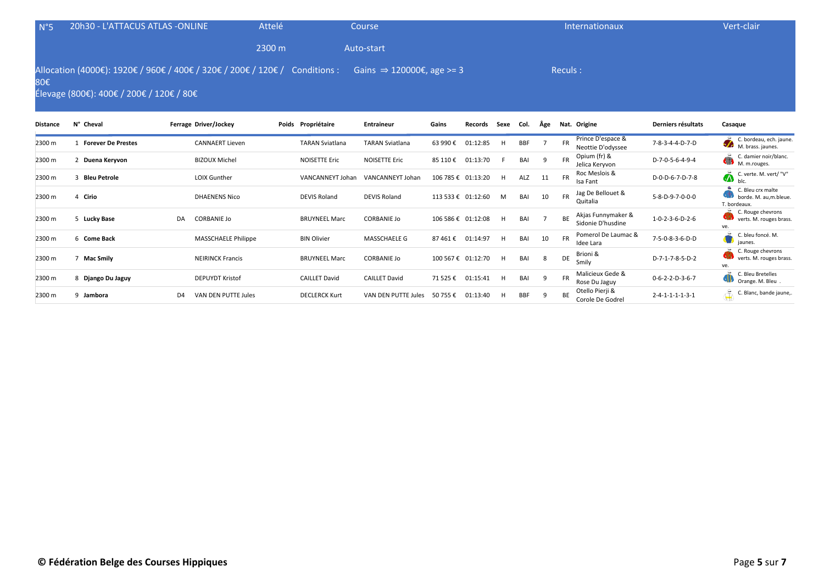| $N^{\circ}5$                                                                                                                                                                          | 20h30 - L'ATTACUS ATLAS -ONLINE |                        | Attelé |                        | Course                 |         |                    |      |      |     |           | Internationaux                         |                    | Vert-clair                                                  |
|---------------------------------------------------------------------------------------------------------------------------------------------------------------------------------------|---------------------------------|------------------------|--------|------------------------|------------------------|---------|--------------------|------|------|-----|-----------|----------------------------------------|--------------------|-------------------------------------------------------------|
|                                                                                                                                                                                       |                                 |                        | 2300 m |                        | Auto-start             |         |                    |      |      |     |           |                                        |                    |                                                             |
| Allocation (4000€): 1920€ / 960€ / 400€ / 320€ / 200€ / 120€ /<br>Gains $\Rightarrow$ 120000€, age >= 3<br>Reculs:<br>Conditions :<br>80€<br>Élevage (800€): 400€ / 200€ / 120€ / 80€ |                                 |                        |        |                        |                        |         |                    |      |      |     |           |                                        |                    |                                                             |
| Distance                                                                                                                                                                              | N° Cheval                       | Ferrage Driver/Jockey  |        | Poids Propriétaire     | <b>Entraineur</b>      | Gains   | Records            | Sexe | Col. | Äge |           | Nat. Origine                           | Derniers résultats | Casaque                                                     |
| 2300 m                                                                                                                                                                                | <b>Forever De Prestes</b>       | <b>CANNAERT Lieven</b> |        | <b>TARAN Sviatlana</b> | <b>TARAN Sviatlana</b> | 63 990€ | 01:12:85           | H.   | BBF  |     | <b>FR</b> | Prince D'espace &<br>Neottie D'odyssee | 7-8-3-4-4-D-7-D    | C. bordeau, ech. jaune.<br><b>STAR</b><br>M. brass. jaunes. |
| 2300 m                                                                                                                                                                                | Duena Keryvon                   | <b>BIZOUX Michel</b>   |        | <b>NOISETTE Eric</b>   | <b>NOISETTE Eric</b>   | 85 110€ | 01:13:70           |      | BAI  | 9   | <b>FR</b> | Opium (fr) &<br>Jelica Keryvon         | D-7-0-5-6-4-9-4    | C. damier noir/blanc.<br>Ă<br>M. m.rouges.                  |
| 2300 m                                                                                                                                                                                | <b>Bleu Petrole</b>             | LOIX Gunther           |        | VANCANNEYT Johan       | VANCANNEYT Johan       |         | 106 785 € 01:13:20 | H    | ALZ  | 11  | <b>FR</b> | Roc Meslois &<br>Isa Fant              | D-0-D-6-7-D-7-8    | C. verte. M. vert/ "V"<br>$\ddot{\mathbf{A}}$<br>hlc        |
|                                                                                                                                                                                       |                                 |                        |        |                        |                        |         |                    |      |      |     |           | log De Belleust 9                      |                    | C. Bleu crx malte                                           |

| 2300 m | Duena Keryvon     |                | <b>BIZOUX MIChel</b>    | NOISETTE EFIC        | NOISETTE EFIC        | 85 110€            | 01:13:70 |   | BAI        |    | ⊦к<br>$\sim$<br>Jelica Keryvon                 | D-7-0-5-6-4-9-4                 | $\left\langle \cdot ,\cdot \right\rangle$<br>M. m.rouges.  |
|--------|-------------------|----------------|-------------------------|----------------------|----------------------|--------------------|----------|---|------------|----|------------------------------------------------|---------------------------------|------------------------------------------------------------|
| 2300 m | 3 Bleu Petrole    |                | <b>LOIX Gunther</b>     | VANCANNEYT Johan     | VANCANNEYT Johan     | 106 785 € 01:13:20 |          | н | ALZ        | 11 | Roc Meslois &<br><b>FR</b><br>Isa Fant         | D-0-D-6-7-D-7-8                 | C. verte. M. vert/ "V"<br>$\sum_{b c}$                     |
| 2300 m | 4 Cirio           |                | <b>DHAENENS Nico</b>    | DEVIS Roland         | <b>DEVIS Roland</b>  | 113 533 € 01:12:60 |          | M | BAI        | 10 | Jag De Bellouet &<br><b>FR</b><br>Quitalia     | 5-8-D-9-7-0-0-0                 | C. Bleu crx malte<br>borde. M. au,m.bleue.<br>T. bordeaux. |
| 2300 m | 5 Lucky Base      | DA             | CORBANIE Jo             | <b>BRUYNEEL Marc</b> | <b>CORBANIE Jo</b>   | 106 586 € 01:12:08 |          | H | BAI        |    | Akjas Funnymaker &<br>Sidonie D'husdine        | $1 - 0 - 2 - 3 - 6 - D - 2 - 6$ | C. Rouge chevrons<br>verts. M. rouges brass.<br>ve.        |
| 2300 m | 6 Come Back       |                | MASSCHAELE Philippe     | <b>BIN Olivier</b>   | <b>MASSCHAELE G</b>  | 87461€             | 01:14:97 | H | BAI        | 10 | Pomerol De Laumac &<br><b>FR</b><br>Idee Lara  | 7-5-0-8-3-6-D-D                 | C. bleu foncé. M.<br>jaunes.                               |
| 2300 m | Mac Smily         |                | <b>NEIRINCK Francis</b> | <b>BRUYNEEL Marc</b> | <b>CORBANIE Jo</b>   | 100 567 € 01:12:70 |          | H | BAI        | 8  | Brioni &<br>DE<br>Smilv                        | D-7-1-7-8-5-D-2                 | C. Rouge chevrons<br>verts. M. rouges brass.<br>ve.        |
| 2300 m | 8 Django Du Jaguy |                | <b>DEPUYDT Kristof</b>  | <b>CAILLET David</b> | <b>CAILLET David</b> | 71 525 €           | 01:15:41 | H | BAI        | 9  | Malicieux Gede &<br><b>FR</b><br>Rose Du Jaguy | $0 - 6 - 2 - 2 - D - 3 - 6 - 7$ | C. Bleu Bretelles<br>Orange. M. Bleu                       |
| 2300 m | 9 Jambora         | D <sub>4</sub> | VAN DEN PUTTE Jules     | <b>DECLERCK Kurt</b> | VAN DEN PUTTE Jules  | 50 755 €           | 01:13:40 | н | <b>BBF</b> |    | Otello Pierji &<br>BE<br>Corole De Godrel      | $2 - 4 - 1 - 1 - 1 - 3 - 1$     | C. Blanc, bande jaune,.                                    |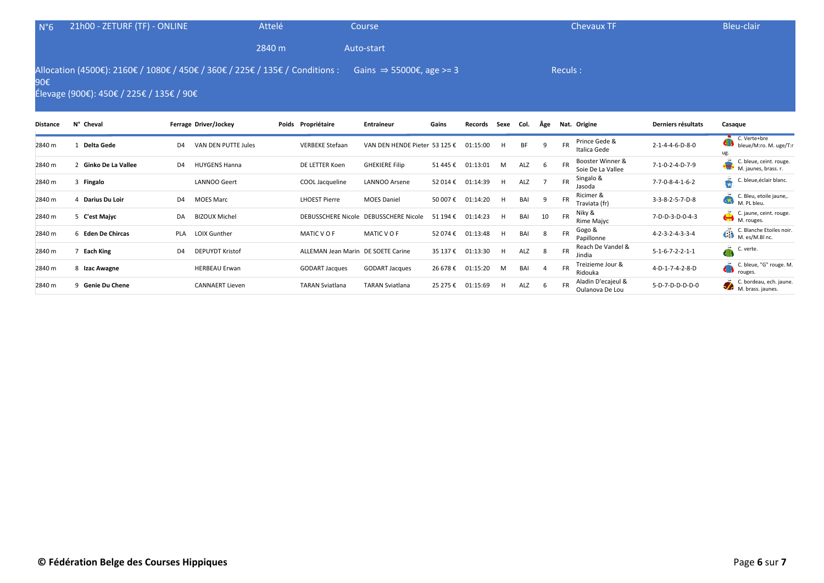| $N^{\circ}6$    | 21h00 - ZETURF (TF) - ONLINE             |                                                                              | Attelé                 | Course               |                                      |                   |    | <b>Chevaux TF</b>                          |                    | Bleu-clair                                             |
|-----------------|------------------------------------------|------------------------------------------------------------------------------|------------------------|----------------------|--------------------------------------|-------------------|----|--------------------------------------------|--------------------|--------------------------------------------------------|
|                 |                                          |                                                                              | 2840 m                 | Auto-start           |                                      |                   |    |                                            |                    |                                                        |
| 90€             | Élevage (900€): 450€ / 225€ / 135€ / 90€ | Allocation (4500€): 2160€ / 1080€ / 450€ / 360€ / 225€ / 135€ / Conditions : |                        |                      | Gains $\Rightarrow$ 55000€, age >= 3 |                   |    | Reculs :                                   |                    |                                                        |
| <b>Distance</b> | N° Cheval                                | Ferrage Driver/Jockey                                                        | Poids Propriétaire     | <b>Entraineur</b>    | Gains                                | Records Sexe Col. |    | Âge Nat. Origine                           | Derniers résultats | Casague                                                |
| 2840 m          | Delta Gede                               | VAN DEN PUTTE Jules<br>D <sub>4</sub>                                        | <b>VERBEKE Stefaan</b> | VAN DEN HENDE Pieter | 153 125 €                            | 01:15:00          | BF | Prince Gede &<br><b>FR</b><br>Italica Gede | 2-1-4-4-6-D-8-0    | C. Verte+bre<br>bleue/M:ro. M. uge/T:r<br>$\mathbf{H}$ |

|        |                    |     |                        |                                    |                           |          |          |    |     |    |           | ildiild Gede                          |                                 | ug.                                                           |
|--------|--------------------|-----|------------------------|------------------------------------|---------------------------|----------|----------|----|-----|----|-----------|---------------------------------------|---------------------------------|---------------------------------------------------------------|
| 2840 m | Ginko De La Vallee | D4  | <b>HUYGENS Hanna</b>   | DE LETTER Koen                     | <b>GHEKIERE Filip</b>     | 51 445 € | 01:13:01 | м  | ALZ | b  | <b>FR</b> | Booster Winner &<br>Soie De La Vallee | 7-1-0-2-4-D-7-9                 | C. bleue, ceint. rouge.<br><b>SHO</b><br>M. jaunes, brass. r. |
| 2840 m | Fingalo            |     | <b>LANNOO Geert</b>    | COOL Jacqueline                    | LANNOO Arsene             | 52 014 € | 01:14:39 | н  | ALZ |    | <b>FR</b> | Singalo &<br>Jasoda                   | 7-7-0-8-4-1-6-2                 | C. bleue, éclair blanc.                                       |
| 2840 m | Darius Du Loir     | D4  | <b>MOES Marc</b>       | <b>LHOEST Pierre</b>               | <b>MOES Daniel</b>        | 50 007€  | 01:14:20 | н  | BAI |    | <b>FR</b> | Ricimer &<br>Traviata (fr)            | 3-3-8-2-5-7-D-8                 | C. Bleu, etoile jaune,.<br>GSK.<br>M. PL bleu.                |
| 2840 m | 5 C'est Majyc      | DA  | <b>BIZOUX Michel</b>   | <b>DEBUSSCHERE Nicole</b>          | <b>DEBUSSCHERE Nicole</b> | 51 194 € | 01:14:23 | H. | BAI | 10 | <b>FR</b> | Niky &<br>Rime Majyc                  | 7-D-D-3-D-0-4-3                 | C. jaune, ceint. rouge.<br>⇔<br>/ M. rouges.                  |
| 2840 m | 6 Eden De Chircas  | PLA | <b>LOIX Gunther</b>    | MATIC VOF                          | MATIC V O F               | 52 074 € | 01:13:48 | H. | BAI | 8  | <b>FR</b> | Gogo &<br>Papillonne                  | $4 - 2 - 3 - 2 - 4 - 3 - 3 - 4$ | C. Blanche Etoiles noir.<br>C. Blanche Etoi                   |
| 2840 m | Each King          | D4  | <b>DEPUYDT Kristof</b> | ALLEMAN Jean Marin DE SOETE Carine |                           | 35 137 € | 01:13:30 | H  | ALZ | 8  | <b>FR</b> | Reach De Vandel &<br>Jindia           | $5 - 1 - 6 - 7 - 2 - 2 - 1 - 1$ | C. verte.                                                     |
| 2840 m | 8 Izac Awagne      |     | <b>HERBEAU Erwan</b>   | <b>GODART Jacques</b>              | <b>GODART Jacques</b>     | 26 678€  | 01:15:20 | м  | BAI |    | <b>FR</b> | Treizieme Jour &<br>Ridouka           | 4-D-1-7-4-2-8-D                 | C. bleue, "G" rouge. M.<br>rouges.                            |
| 2840 m | 9 Genie Du Chene   |     | <b>CANNAERT Lieven</b> | <b>TARAN Sviatlana</b>             | <b>TARAN Sviatlana</b>    | 25 275 € | 01:15:69 |    | ALZ | b  | <b>FR</b> | Aladin D'ecajeul &<br>Oulanova De Lou | 5-D-7-D-D-D-D-0                 | C. bordeau, ech. jaune.<br>M. brass. jaunes.                  |